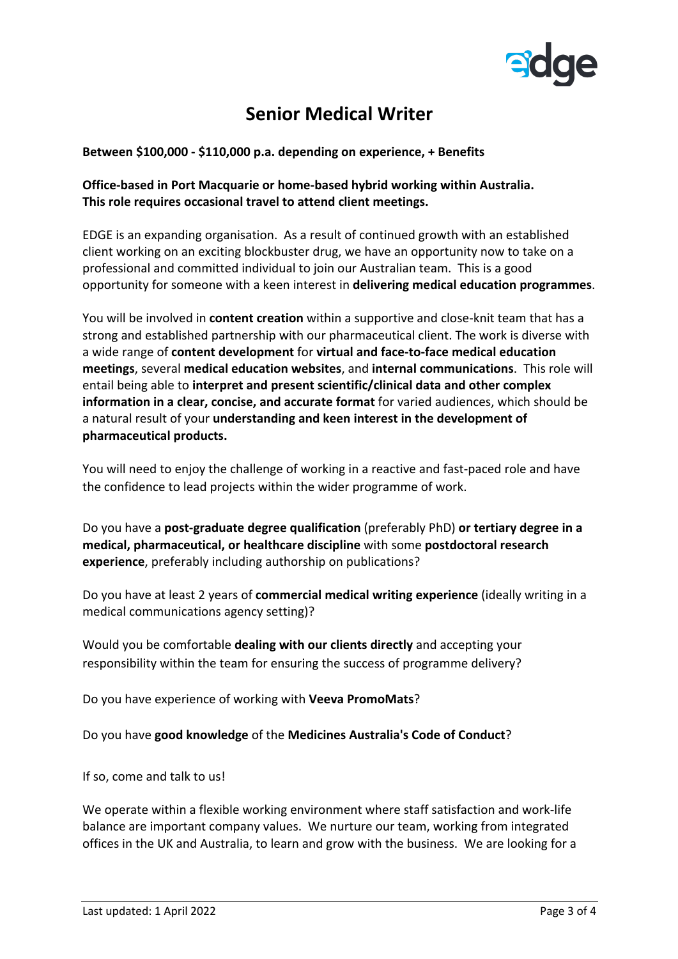

## **Senior Medical Writer**

**Between \$100,000 - \$110,000 p.a. depending on experience, + Benefits**

## **Office-based in Port Macquarie or home-based hybrid working within Australia. This role requires occasional travel to attend client meetings.**

EDGE is an expanding organisation. As a result of continued growth with an established client working on an exciting blockbuster drug, we have an opportunity now to take on a professional and committed individual to join our Australian team. This is a good opportunity for someone with a keen interest in **delivering medical education programmes**.

You will be involved in **content creation** within a supportive and close-knit team that has a strong and established partnership with our pharmaceutical client. The work is diverse with a wide range of **content development** for **virtual and face-to-face medical education meetings**, several **medical education websites**, and **internal communications**. This role will entail being able to **interpret and present scientific/clinical data and other complex information in a clear, concise, and accurate format** for varied audiences, which should be a natural result of your **understanding and keen interest in the development of pharmaceutical products.**

You will need to enjoy the challenge of working in a reactive and fast-paced role and have the confidence to lead projects within the wider programme of work.

Do you have a **post-graduate degree qualification** (preferably PhD) **or tertiary degree in a medical, pharmaceutical, or healthcare discipline** with some **postdoctoral research experience**, preferably including authorship on publications?

Do you have at least 2 years of **commercial medical writing experience** (ideally writing in a medical communications agency setting)?

Would you be comfortable **dealing with our clients directly** and accepting your responsibility within the team for ensuring the success of programme delivery?

Do you have experience of working with **Veeva PromoMats**?

Do you have **good knowledge** of the **Medicines Australia's Code of Conduct**?

If so, come and talk to us!

We operate within a flexible working environment where staff satisfaction and work-life balance are important company values. We nurture our team, working from integrated offices in the UK and Australia, to learn and grow with the business. We are looking for a